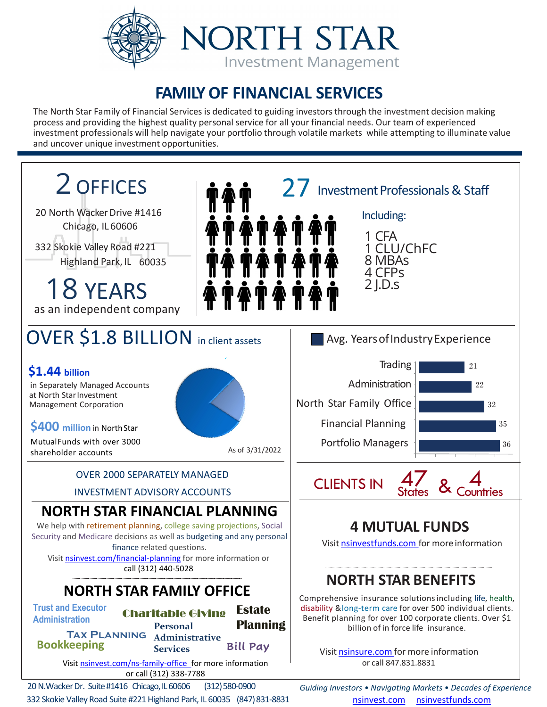

## **FAMILY OF FINANCIAL SERVICES**

The North Star Family of Financial Services is dedicated to guiding investors through the investment decision making process and providing the highest quality personal service for all your financial needs. Our team of experienced investment professionals will help navigate your portfolio through volatile markets while attempting to illuminate value and uncover unique investment opportunities.



332 Skokie Valley Road Suite #221 Highland Park, IL 60035 (847) 831-8831 [nsinvest.com](https://nsinvest.com/) nsinvestfunds.com

*Guiding Investors • Navigating Markets • Decades of Experience*